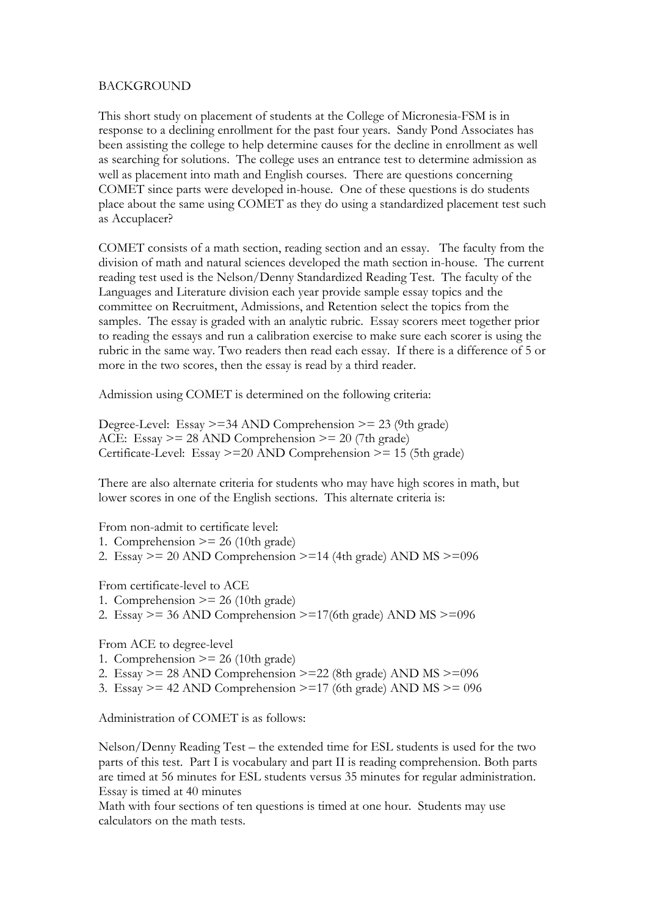## BACKGROUND

This short study on placement of students at the College of Micronesia-FSM is in response to a declining enrollment for the past four years. Sandy Pond Associates has been assisting the college to help determine causes for the decline in enrollment as well as searching for solutions. The college uses an entrance test to determine admission as well as placement into math and English courses. There are questions concerning COMET since parts were developed in-house. One of these questions is do students place about the same using COMET as they do using a standardized placement test such as Accuplacer?

COMET consists of a math section, reading section and an essay. The faculty from the division of math and natural sciences developed the math section in-house. The current reading test used is the Nelson/Denny Standardized Reading Test. The faculty of the Languages and Literature division each year provide sample essay topics and the committee on Recruitment, Admissions, and Retention select the topics from the samples. The essay is graded with an analytic rubric. Essay scorers meet together prior to reading the essays and run a calibration exercise to make sure each scorer is using the rubric in the same way. Two readers then read each essay. If there is a difference of 5 or more in the two scores, then the essay is read by a third reader.

Admission using COMET is determined on the following criteria:

Degree-Level: Essay  $>= 34$  AND Comprehension  $>= 23$  (9th grade) ACE: Essay  $>= 28$  AND Comprehension  $>= 20$  (7th grade) Certificate-Level: Essay >=20 AND Comprehension >= 15 (5th grade)

There are also alternate criteria for students who may have high scores in math, but lower scores in one of the English sections. This alternate criteria is:

From non-admit to certificate level:

- 1. Comprehension  $\geq$  26 (10th grade)
- 2. Essay  $>= 20$  AND Comprehension  $>= 14$  (4th grade) AND MS  $>= 0.96$

From certificate-level to ACE

- 1. Comprehension  $\geq$  26 (10th grade)
- 2. Essay  $>= 36$  AND Comprehension  $>= 17$ (6th grade) AND MS  $>= 0.96$

From ACE to degree-level

- 1. Comprehension  $\geq$  26 (10th grade)
- 2. Essay  $>= 28$  AND Comprehension  $>= 22$  (8th grade) AND MS  $>= 0.96$
- 3. Essay  $>= 42$  AND Comprehension  $>= 17$  (6th grade) AND MS  $>= 0.096$

Administration of COMET is as follows:

Nelson/Denny Reading Test – the extended time for ESL students is used for the two parts of this test. Part I is vocabulary and part II is reading comprehension. Both parts are timed at 56 minutes for ESL students versus 35 minutes for regular administration. Essay is timed at 40 minutes

Math with four sections of ten questions is timed at one hour. Students may use calculators on the math tests.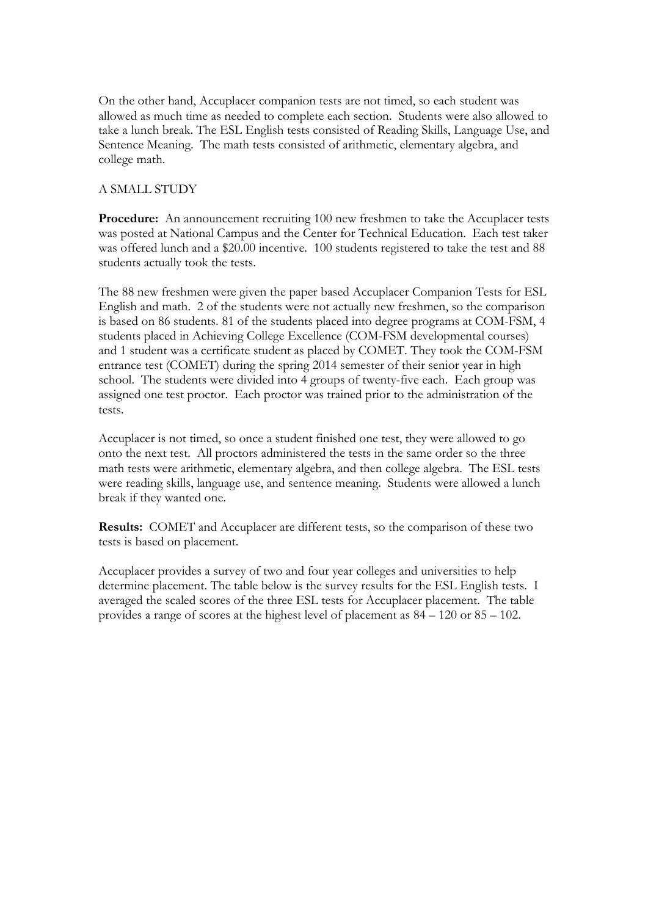On the other hand, Accuplacer companion tests are not timed, so each student was allowed as much time as needed to complete each section. Students were also allowed to take a lunch break. The ESL English tests consisted of Reading Skills, Language Use, and Sentence Meaning. The math tests consisted of arithmetic, elementary algebra, and college math.

# A SMALL STUDY

**Procedure:** An announcement recruiting 100 new freshmen to take the Accuplacer tests was posted at National Campus and the Center for Technical Education. Each test taker was offered lunch and a \$20.00 incentive. 100 students registered to take the test and 88 students actually took the tests.

The 88 new freshmen were given the paper based Accuplacer Companion Tests for ESL English and math. 2 of the students were not actually new freshmen, so the comparison is based on 86 students. 81 of the students placed into degree programs at COM-FSM, 4 students placed in Achieving College Excellence (COM-FSM developmental courses) and 1 student was a certificate student as placed by COMET. They took the COM-FSM entrance test (COMET) during the spring 2014 semester of their senior year in high school. The students were divided into 4 groups of twenty-five each. Each group was assigned one test proctor. Each proctor was trained prior to the administration of the tests.

Accuplacer is not timed, so once a student finished one test, they were allowed to go onto the next test. All proctors administered the tests in the same order so the three math tests were arithmetic, elementary algebra, and then college algebra. The ESL tests were reading skills, language use, and sentence meaning. Students were allowed a lunch break if they wanted one.

**Results:** COMET and Accuplacer are different tests, so the comparison of these two tests is based on placement.

Accuplacer provides a survey of two and four year colleges and universities to help determine placement. The table below is the survey results for the ESL English tests. I averaged the scaled scores of the three ESL tests for Accuplacer placement. The table provides a range of scores at the highest level of placement as 84 – 120 or 85 – 102.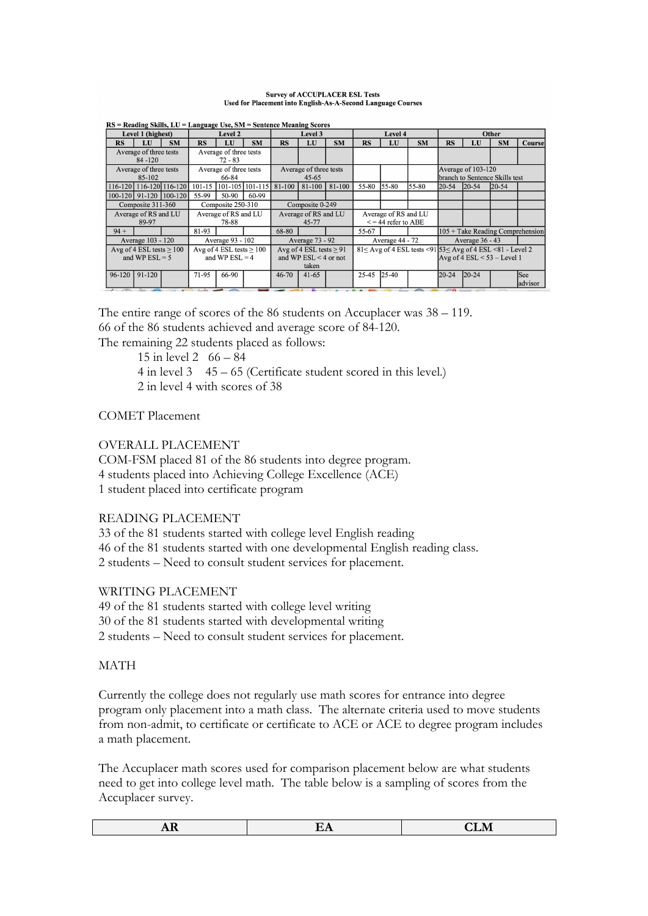### **Survey of ACCUPLACER ESL Tests** Used for Placement into English-As-A-Second Language Courses

|        | $RS$ = Reading Skills, $LU$ = Language Use, SM = Sentence Meaning Scores |                             |                            |                        |                        |                           |                        |           |           |                         |            |                                                                             |                      |           |                                    |
|--------|--------------------------------------------------------------------------|-----------------------------|----------------------------|------------------------|------------------------|---------------------------|------------------------|-----------|-----------|-------------------------|------------|-----------------------------------------------------------------------------|----------------------|-----------|------------------------------------|
|        | Level 1 (highest)                                                        |                             |                            | Level 2                |                        |                           | <b>Level 3</b>         |           |           | Level 4                 |            |                                                                             |                      | Other     |                                    |
| RS     | LU                                                                       | <b>SM</b>                   | RS                         | LU                     | <b>SM</b>              | RS                        | LU                     | <b>SM</b> | <b>RS</b> | LU                      | <b>SM</b>  | <b>RS</b>                                                                   | LU                   | <b>SM</b> | <b>Course</b>                      |
|        | Average of three tests                                                   |                             |                            | Average of three tests |                        |                           |                        |           |           |                         |            |                                                                             |                      |           |                                    |
|        | $84 - 120$                                                               |                             |                            | $72 - 83$              |                        |                           |                        |           |           |                         |            |                                                                             |                      |           |                                    |
|        | Average of three tests                                                   |                             |                            | Average of three tests |                        |                           | Average of three tests |           |           |                         |            |                                                                             | Average of $103-120$ |           |                                    |
|        | 85-102                                                                   |                             | 66-84                      |                        |                        | $45 - 65$                 |                        |           |           |                         |            | branch to Sentence Skills test                                              |                      |           |                                    |
|        |                                                                          | 116-120   116-120   116-120 |                            |                        | 101-15 101-105 101-115 | $81-100$                  | 81-100                 | $81-100$  | 55-80     | $155 - 80$              | $155 - 80$ | $20 - 54$                                                                   | $20 - 54$            | $ 20-54 $ |                                    |
|        |                                                                          | 100-120 91-120 100-120      | 55-99                      | $50-90$                | 60-99                  |                           |                        |           |           |                         |            |                                                                             |                      |           |                                    |
|        | Composite 311-360                                                        |                             |                            | Composite 250-310      |                        |                           | Composite 0-249        |           |           |                         |            |                                                                             |                      |           |                                    |
|        | Average of RS and LU                                                     |                             | Average of RS and LU       |                        |                        | Average of RS and LU      |                        |           |           | Average of RS and LU    |            |                                                                             |                      |           |                                    |
|        | 89-97                                                                    |                             | 78-88                      |                        |                        |                           | 45-77                  |           |           | $\le$ = 44 refer to ABE |            |                                                                             |                      |           |                                    |
| $94 +$ |                                                                          |                             | 81-93                      |                        |                        | 68-80                     |                        |           | 55-67     |                         |            |                                                                             |                      |           | $105 +$ Take Reading Comprehension |
|        | Average 103 - 120                                                        |                             |                            | Average 93 - 102       |                        |                           | Average 73 - 92        |           |           | Average 44 - 72         |            |                                                                             | Average 36 - 43      |           |                                    |
|        | Avg of 4 ESL tests $> 100$                                               |                             | Avg of 4 ESL tests $> 100$ |                        |                        | Avg of 4 ESL tests $> 91$ |                        |           |           |                         |            | $81 <$ Avg of 4 ESL tests $\leq$ 91 53 $<$ Avg of 4 ESL $\leq$ 81 - Level 2 |                      |           |                                    |
|        | and WP $ESL = 5$                                                         |                             | and WP $ESL = 4$           |                        |                        | and WP $ESL < 4$ or not   |                        |           |           |                         |            | Avg of 4 ESL $<$ 53 – Level 1                                               |                      |           |                                    |
|        |                                                                          |                             |                            |                        |                        |                           | taken                  |           |           |                         |            |                                                                             |                      |           |                                    |
| 96-120 | 91-120                                                                   |                             | 71-95                      | 66-90                  |                        | $46 - 70$                 | $41 - 65$              |           | $25 - 45$ | $125 - 40$              |            | $20 - 24$                                                                   | $20 - 24$            |           | See                                |
|        |                                                                          |                             |                            |                        |                        |                           |                        |           |           |                         |            |                                                                             |                      |           | ladvisor                           |

 $DS = Dogdina$  Shille  $TT = T$ 

The entire range of scores of the 86 students on Accuplacer was 38 – 119. 66 of the 86 students achieved and average score of 84-120.

The remaining 22 students placed as follows:

15 in level 2 66 – 84 4 in level 3 45 – 65 (Certificate student scored in this level.) 2 in level 4 with scores of 38

COMET Placement

OVERALL PLACEMENT

COM-FSM placed 81 of the 86 students into degree program. 4 students placed into Achieving College Excellence (ACE) 1 student placed into certificate program

# READING PLACEMENT

33 of the 81 students started with college level English reading 46 of the 81 students started with one developmental English reading class. 2 students – Need to consult student services for placement.

WRITING PLACEMENT

49 of the 81 students started with college level writing 30 of the 81 students started with developmental writing 2 students – Need to consult student services for placement.

# MATH

Currently the college does not regularly use math scores for entrance into degree program only placement into a math class. The alternate criteria used to move students from non-admit, to certificate or certificate to ACE or ACE to degree program includes a math placement.

The Accuplacer math scores used for comparison placement below are what students need to get into college level math. The table below is a sampling of scores from the Accuplacer survey.

|      |                | $- - - -$<br>n |
|------|----------------|----------------|
| **** | ---<br>$- - -$ | -----          |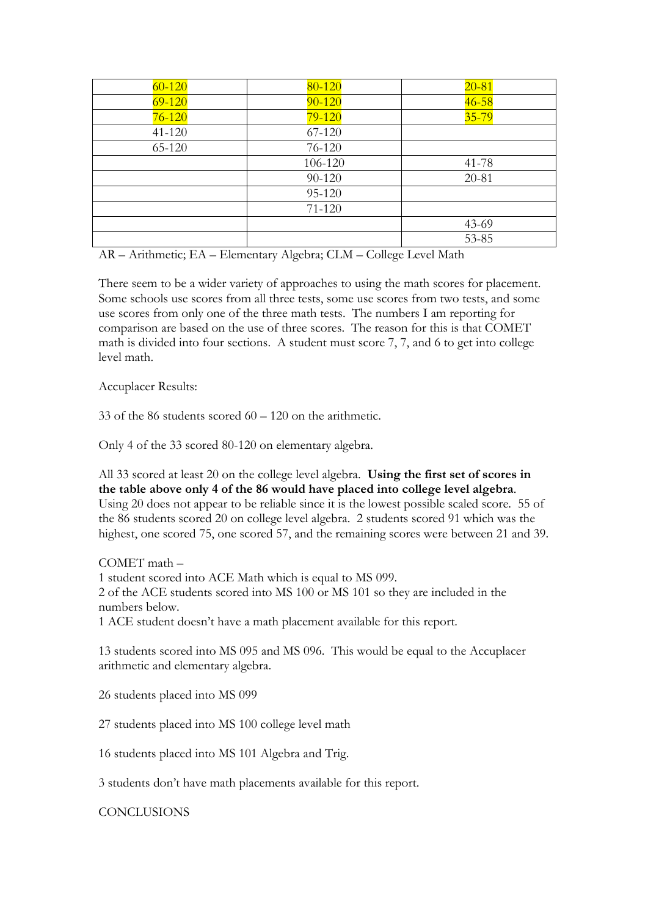| $60 - 120$ | 80-120     | $20 - 81$ |
|------------|------------|-----------|
| $69 - 120$ | $90 - 120$ | $46 - 58$ |
| $76 - 120$ | $79 - 120$ | $35 - 79$ |
| $41 - 120$ | 67-120     |           |
| 65-120     | 76-120     |           |
|            | 106-120    | $41 - 78$ |
|            | 90-120     | 20-81     |
|            | 95-120     |           |
|            | $71 - 120$ |           |
|            |            | $43-69$   |
|            |            | 53-85     |

AR – Arithmetic; EA – Elementary Algebra; CLM – College Level Math

There seem to be a wider variety of approaches to using the math scores for placement. Some schools use scores from all three tests, some use scores from two tests, and some use scores from only one of the three math tests. The numbers I am reporting for comparison are based on the use of three scores. The reason for this is that COMET math is divided into four sections. A student must score 7, 7, and 6 to get into college level math.

Accuplacer Results:

33 of the 86 students scored 60 – 120 on the arithmetic.

Only 4 of the 33 scored 80-120 on elementary algebra.

All 33 scored at least 20 on the college level algebra. **Using the first set of scores in the table above only 4 of the 86 would have placed into college level algebra**. Using 20 does not appear to be reliable since it is the lowest possible scaled score. 55 of the 86 students scored 20 on college level algebra. 2 students scored 91 which was the highest, one scored 75, one scored 57, and the remaining scores were between 21 and 39.

COMET math –

1 student scored into ACE Math which is equal to MS 099.

2 of the ACE students scored into MS 100 or MS 101 so they are included in the numbers below.

1 ACE student doesn't have a math placement available for this report.

13 students scored into MS 095 and MS 096. This would be equal to the Accuplacer arithmetic and elementary algebra.

26 students placed into MS 099

27 students placed into MS 100 college level math

16 students placed into MS 101 Algebra and Trig.

3 students don't have math placements available for this report.

**CONCLUSIONS**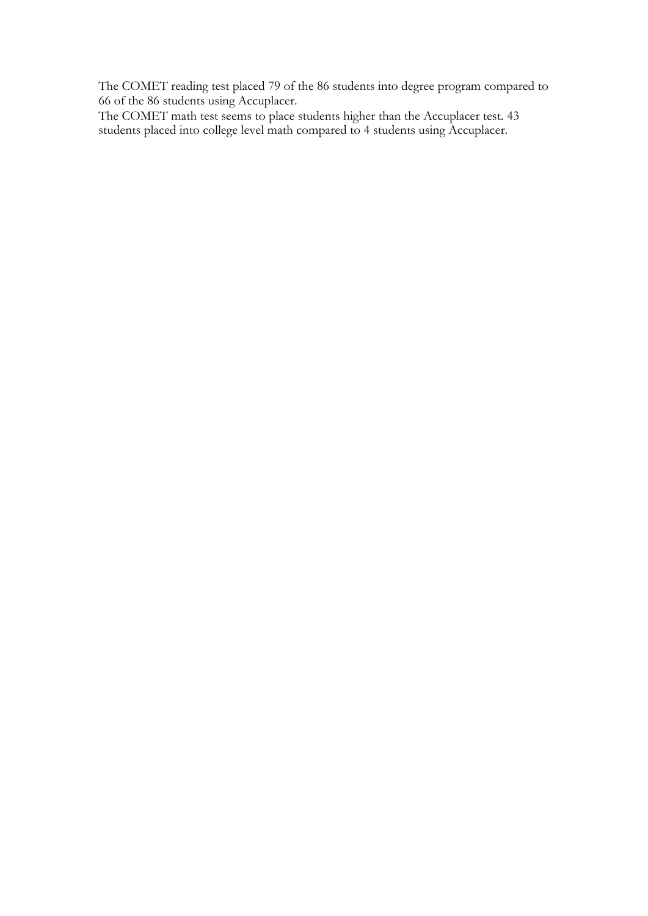The COMET reading test placed 79 of the 86 students into degree program compared to 66 of the 86 students using Accuplacer.

The COMET math test seems to place students higher than the Accuplacer test. 43 students placed into college level math compared to 4 students using Accuplacer.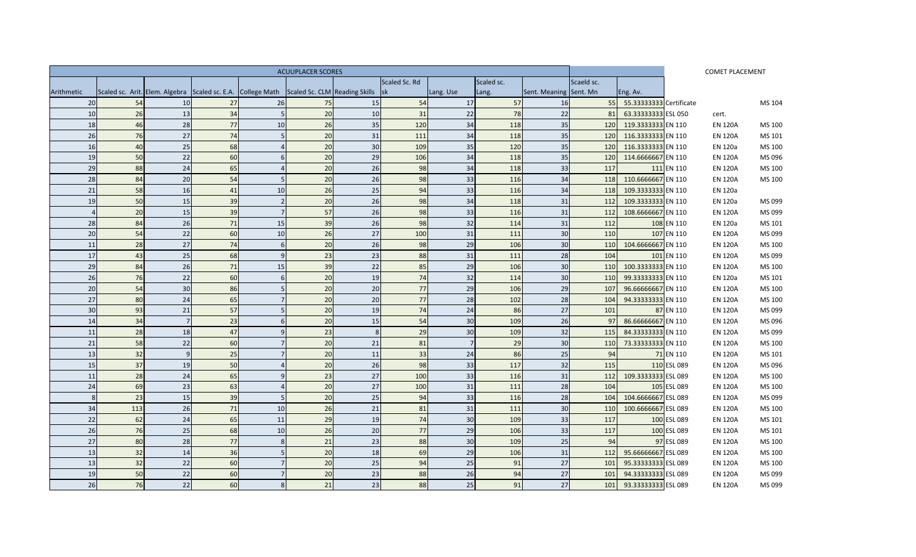| <b>ACUUPLACER SCORES</b> |     |              |                                                                                              |                 |    |                         |               |                |            |                        |            |                         |             | <b>COMET PLACEMENT</b> |        |
|--------------------------|-----|--------------|----------------------------------------------------------------------------------------------|-----------------|----|-------------------------|---------------|----------------|------------|------------------------|------------|-------------------------|-------------|------------------------|--------|
|                          |     |              |                                                                                              |                 |    |                         | Scaled Sc. Rd |                | Scaled sc. |                        | Scaeld sc. |                         |             |                        |        |
| Arithmetic               |     |              | Scaled sc. Arit. Elem. Algebra Scaled sc. E.A. College Math Scaled Sc. CLM Reading Skills Sk |                 |    |                         |               | Lang. Use      | Lang.      | Sent. Meaning Sent. Mn |            | Eng. Av.                |             |                        |        |
| 20                       | 54  | 10           | 27                                                                                           | 26              | 75 | 15 <sup>1</sup>         | 54            | 17             | 57         | 16                     | 55         | 55.33333333 Certificate |             |                        | MS 104 |
| 10                       | 26  | 13           | 34                                                                                           |                 | 20 | 10                      | 31            | 22             | 78         | 22                     | 81         | 63.33333333 ESL 050     |             | cert.                  |        |
| 18                       | 46  | 28           | 77                                                                                           | 10              | 26 | 35                      | 120           | 34             | 118        | 35                     | <b>120</b> | 119.3333333 EN 110      |             | <b>EN 120A</b>         | MS 100 |
| 26                       | 76  | 27           | 74                                                                                           |                 | 20 | 31                      | 111           | 34             | 118        | 35                     | <b>120</b> | 116.3333333 EN 110      |             | <b>EN 120A</b>         | MS 101 |
| 16                       | 40  | 25           | 68                                                                                           | $\Delta$        | 20 | 30                      | 109           | 35             | 120        | 35                     | <b>120</b> | 116.3333333 EN 110      |             | EN 120a                | MS 100 |
| 19                       | 50  | 22           | 60                                                                                           | 6               | 20 | 29                      | 106           | 34             | 118        | 35                     | 120        | 114.6666667 EN 110      |             | <b>EN 120A</b>         | MS 096 |
| 29                       | 88  | 24           | 65                                                                                           |                 | 20 | 26                      | 98            | 34             | 118        | 33                     | 117        |                         | 111 EN 110  | <b>EN 120A</b>         | MS 100 |
| 28                       | 84  | 20           | 54                                                                                           |                 | 20 | 26                      | 98            | 33             | 116        | 34                     | <b>118</b> | 110.6666667 EN 110      |             | <b>EN 120A</b>         | MS 100 |
| 21                       | 58  | 16           | 41                                                                                           | 10              | 26 | 25                      | 94            | 33             | 116        | 34                     | 118        | 109.3333333 EN 110      |             | EN 120a                |        |
| 19                       | 50  | 15           | 39                                                                                           | $\overline{z}$  | 20 | 26                      | 98            | 34             | 118        | 31                     | 112        | 109.3333333 EN 110      |             | <b>EN 120a</b>         | MS 099 |
| $\Delta$                 | 20  | 15           | 39                                                                                           | $\overline{7}$  | 57 | $\overline{26}$         | 98            | 33             | 116        | 31                     | 112        | 108.6666667 EN 110      |             | <b>EN 120A</b>         | MS 099 |
| 28                       | 84  | 26           | 71                                                                                           | 15              | 39 | 26                      | 98            | 32             | 114        | 31                     | 112        |                         | 108 EN 110  | <b>EN 120a</b>         | MS 101 |
| 20                       | 54  | 22           | 60                                                                                           | 10              | 26 | 27                      | 100           | 31             | 111        | 30                     | 110        |                         | 107 EN 110  | <b>EN 120A</b>         | MS 099 |
| 11                       | 28  | 27           | 74                                                                                           | 6               | 20 | 26                      | 98            | 29             | 106        | 30                     | <b>110</b> | 104.6666667 EN 110      |             | <b>EN 120A</b>         | MS 100 |
| 17                       | 43  | 25           | 68                                                                                           | $\mathsf{q}$    | 23 | 23                      | 88            | 31             | 111        | 28                     | 104        |                         | 101 EN 110  | <b>EN 120A</b>         | MS 099 |
| 29                       | 84  | 26           | 71                                                                                           | 15              | 39 | 22                      | 85            | 29             | 106        | 30                     | <b>110</b> | 100.3333333 EN 110      |             | <b>EN 120A</b>         | MS 100 |
| 26                       | 76  | 22           | 60                                                                                           | $6\overline{6}$ | 20 | 19                      | 74            | 32             | 114        | 30                     | <b>110</b> | 99.33333333 EN 110      |             | <b>EN 120a</b>         | MS 101 |
| 20                       | 54  | 30           | 86                                                                                           |                 | 20 | 20 <sup>1</sup>         | 77            | 29             | 106        | 29                     | 107        | 96.66666667 EN 110      |             | <b>EN 120A</b>         | MS 100 |
| 27                       | 80  | 24           | 65                                                                                           |                 | 20 | 20                      | 77            | 28             | 102        | 28                     | 104        | 94.33333333 EN 110      |             | <b>EN 120A</b>         | MS 100 |
| 30                       | 93  | 21           | 57                                                                                           |                 | 20 | 19                      | 74            | 24             | 86         | 27                     | 101        |                         | 87 EN 110   | <b>EN 120A</b>         | MS 099 |
| 14                       | 34  | 7            | 23                                                                                           | 6               | 20 | 15                      | 54            | 30             | 109        | 26                     | 97         | 86.66666667 EN 110      |             | <b>EN 120A</b>         | MS 096 |
| 11                       | 28  | 18           | 47                                                                                           |                 | 23 | $\mathsf{\overline{8}}$ | 29            | 30             | 109        | 32                     | 115        | 84.33333333 EN 110      |             | <b>EN 120A</b>         | MS 099 |
| 21                       | 58  | 22           | 60                                                                                           |                 | 20 | 21                      | 81            | $\overline{7}$ | 29         | 30                     | <b>110</b> | 73.33333333 EN 110      |             | <b>EN 120A</b>         | MS 100 |
| 13                       | 32  | $\mathbf{q}$ | 25                                                                                           |                 | 20 | 11                      | 33            | 24             | 86         | 25                     | 94         |                         | 71 EN 110   | <b>EN 120A</b>         | MS 101 |
| 15                       | 37  | 19           | 50                                                                                           |                 | 20 | 26                      | 98            | 33             | 117        | 32                     | 115        |                         | 110 ESL 089 | <b>EN 120A</b>         | MS 096 |
| 11                       | 28  | 24           | 65                                                                                           | $\mathsf{Q}$    | 23 | 27                      | 100           | 33             | 116        | 31                     | 112        | 109.3333333 ESL 089     |             | <b>EN 120A</b>         | MS 100 |
| 24                       | 69  | 23           | 63                                                                                           |                 | 20 | 27                      | 100           | 31             | 111        | 28                     | 104        |                         | 105 ESL 089 | <b>EN 120A</b>         | MS 100 |
| 8                        | 23  | 15           | 39                                                                                           |                 | 20 | 25                      | 94            | 33             | 116        | 28                     | 104        | 104.6666667 ESL 089     |             | <b>EN 120A</b>         | MS 099 |
| 34                       | 113 | 26           | 71                                                                                           | 10              | 26 | 21                      | 81            | 31             | 111        | 30                     | 110        | 100.6666667 ESL 089     |             | <b>EN 120A</b>         | MS 100 |
| 22                       | 62  | 24           | 65                                                                                           | 11              | 29 | 19                      | 74            | 30             | 109        | 33                     | 117        |                         | 100 ESL 089 | <b>EN 120A</b>         | MS 101 |
| 26                       | 76  | 25           | 68                                                                                           | 10              | 26 | 20                      | 77            | 29             | 106        | 33                     | 117        |                         | 100 ESL 089 | <b>EN 120A</b>         | MS 101 |
| 27                       | 80  | 28           | 77                                                                                           | 8               | 21 | 23                      | 88            | 30             | 109        | 25                     | 94         |                         | 97 ESL 089  | <b>EN 120A</b>         | MS 100 |
| 13                       | 32  | 14           | 36                                                                                           |                 | 20 | 18                      | 69            | 29             | 106        | 31                     | 112        | 95.66666667 ESL 089     |             | <b>EN 120A</b>         | MS 100 |
| 13                       | 32  | 22           | 60                                                                                           | $\overline{7}$  | 20 | 25                      | 94            | 25             | 91         | 27                     | 101        | 95.33333333 ESL 089     |             | <b>EN 120A</b>         | MS 100 |
| 19                       | 50  | 22           | 60                                                                                           | $\overline{7}$  | 20 | 23                      | 88            | 26             | 94         | 27                     | 101        | 94.33333333 ESL 089     |             | <b>EN 120A</b>         | MS 099 |
| 26                       | 76  | 22           | 60                                                                                           | 8 <sup>1</sup>  | 21 | 23                      | 88            | 25             | 91         | 27                     | 101        | 93.33333333 ESL 089     |             | <b>EN 120A</b>         | MS 099 |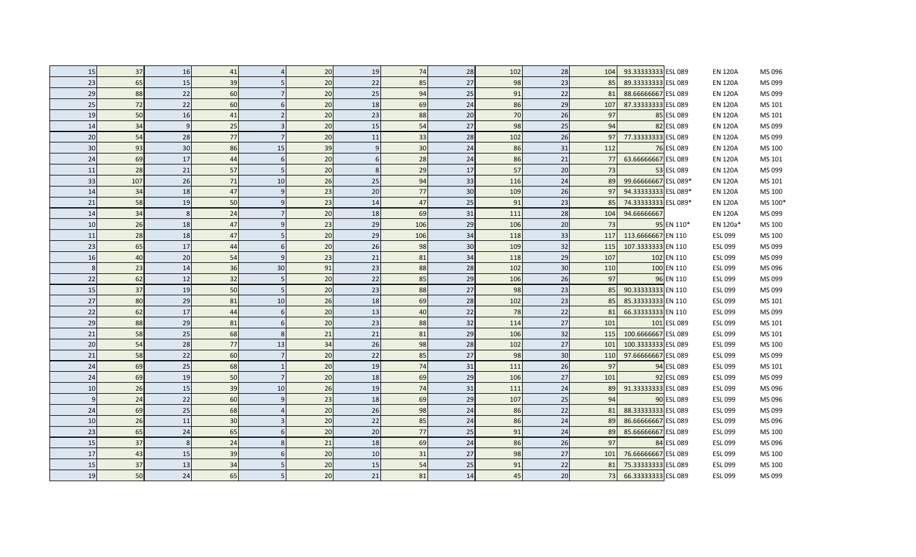| 15               | 37  | 16               | 41 |    | 20              | 19 | 74  | 28     | 102 | 28              | 104 | 93.33333333 ESL 089  | <b>EN 120A</b> | MS 096  |
|------------------|-----|------------------|----|----|-----------------|----|-----|--------|-----|-----------------|-----|----------------------|----------------|---------|
| 23               | 65  | 15               | 39 |    | 20              | 22 | 85  | 27     | 98  | 23              | 85  | 89.33333333 ESL 089  | <b>EN 120A</b> | MS 099  |
| 29               | 88  | 22               | 60 |    | 20              | 25 | 94  | 25     | 91  | 22              | 81  | 88.66666667 ESL 089  | <b>EN 120A</b> | MS 099  |
| 25               | 72  | 22               | 60 |    | 20              | 18 | 69  | 24     | 86  | 29              | 107 | 87.33333333 ESL 089  | <b>EN 120A</b> | MS 101  |
| 19               | 50  | 16               | 41 |    | 20              | 23 | 88  | 20     | 70  | 26              | 97  | 85 ESL 089           | <b>EN 120A</b> | MS 101  |
| 14               | 34  | 9                | 25 |    | 20              | 15 | 54  | 27     | 98  | 25              | 94  | 82 ESL 089           | <b>EN 120A</b> | MS 099  |
| 20               | 54  | 28               | 77 |    | 20              | 11 | 33  | 28     | 102 | 26              | 97  | 77.33333333 ESL 089  | <b>EN 120A</b> | MS 099  |
| 30               | 93  | 30               | 86 | 15 | 39              | 9  | 30  | 24     | 86  | 31              | 112 | 76 ESL 089           | <b>EN 120A</b> | MS 100  |
| 24               | 69  | 17               | 44 |    | 20              | 6  | 28  | 24     | 86  | 21              | 77  | 63.66666667 ESL 089  | <b>EN 120A</b> | MS 101  |
| 11               | 28  | 21               | 57 |    | 20              | 8  | 29  | 17     | 57  | 20 <sup>1</sup> | 73  | 53 ESL 089           | <b>EN 120A</b> | MS 099  |
| 33               | 107 | 26               | 71 | 10 | 26              | 25 | 94  | 33     | 116 | 24              | 89  | 99.66666667 ESL 089* | <b>EN 120A</b> | MS 101  |
| 14               | 34  | 18               | 47 |    | 23              | 20 | 77  | 30     | 109 | 26              | 97  | 94.33333333 ESL 089* | <b>EN 120A</b> | MS 100  |
| $21\,$           | 58  | 19               | 50 |    | 23              | 14 | 47  | 25     | 91  | 23              | 85  | 74.33333333 ESL 089* | <b>EN 120A</b> | MS 100* |
| 14               | 34  | $\boldsymbol{8}$ | 24 |    | 20              | 18 | 69  | 31     | 111 | 28              | 104 | 94.66666667          | <b>EN 120A</b> | MS 099  |
| 10               | 26  | 18               | 47 |    | 23              | 29 | 106 | 29     | 106 | 20              | 73  | 95 EN 110*           | EN 120a*       | MS 100  |
| 11               | 28  | 18               | 47 |    | 20              | 29 | 106 | 34     | 118 | 33              | 117 | 113.6666667 EN 110   | ESL 099        | MS 100  |
| 23               | 65  | 17               | 44 |    | 20              | 26 | 98  | $30\,$ | 109 | 32              | 115 | 107.3333333 EN 110   | ESL 099        | MS 099  |
| 16               | 40  | 20               | 54 |    | 23              | 21 | 81  | 34     | 118 | 29              | 107 | 102 EN 110           | ESL 099        | MS 099  |
| 8                | 23  | 14               | 36 | 30 | 91              | 23 | 88  | 28     | 102 | 30              | 110 | 100 EN 110           | ESL 099        | MS 096  |
| 22               | 62  | 12               | 32 |    | 20              | 22 | 85  | 29     | 106 | 26              | 97  | 96 EN 110            | ESL 099        | MS 099  |
| 15               | 37  | 19               | 50 |    | 20              | 23 | 88  | 27     | 98  | 23              | 85  | 90.33333333 EN 110   | ESL 099        | MS 099  |
| 27               | 80  | 29               | 81 | 10 | 26              | 18 | 69  | 28     | 102 | 23              | 85  | 85.33333333 EN 110   | ESL 099        | MS 101  |
| 22               | 62  | 17               | 44 |    | 20              | 13 | 40  | 22     | 78  | 22              | 81  | 66.33333333 EN 110   | ESL 099        | MS 099  |
| 29               | 88  | 29               | 81 |    | 20              | 23 | 88  | 32     | 114 | 27              | 101 | 101 ESL 089          | ESL 099        | MS 101  |
| $21\,$           | 58  | 25               | 68 |    | 21              | 21 | 81  | 29     | 106 | 32              | 115 | 100.6666667 ESL 089  | ESL 099        | MS 101  |
| 20               | 54  | 28               | 77 | 13 | 34              | 26 | 98  | 28     | 102 | 27              | 101 | 100.3333333 ESL 089  | ESL 099        | MS 100  |
| $21\,$           | 58  | 22               | 60 |    | 20              | 22 | 85  | 27     | 98  | 30              | 110 | 97.66666667 ESL 089  | ESL 099        | MS 099  |
| 24               | 69  | 25               | 68 |    | 20              | 19 | 74  | 31     | 111 | 26              | 97  | 94 ESL 089           | ESL 099        | MS 101  |
| 24               | 69  | 19               | 50 |    | 20              | 18 | 69  | 29     | 106 | 27              | 101 | 92 ESL 089           | ESL 099        | MS 099  |
| 10               | 26  | 15               | 39 | 10 | 26              | 19 | 74  | 31     | 111 | 24              | 89  | 91.33333333 ESL 089  | ESL 099        | MS 096  |
| $\boldsymbol{9}$ | 24  | 22               | 60 |    | 23              | 18 | 69  | 29     | 107 | 25              | 94  | 90 ESL 089           | ESL 099        | MS 096  |
| 24               | 69  | 25               | 68 |    | 20              | 26 | 98  | 24     | 86  | 22              | 81  | 88.33333333 ESL 089  | ESL 099        | MS 099  |
| 10               | 26  | 11               | 30 |    | 20              | 22 | 85  | 24     | 86  | 24              | 89  | 86.66666667 ESL 089  | ESL 099        | MS 096  |
| 23               | 65  | 24               | 65 |    | 20              | 20 | 77  | 25     | 91  | 24              | 89  | 85.66666667 ESL 089  | ESL 099        | MS 100  |
| 15               | 37  | 8 <sup>2</sup>   | 24 |    | 21              | 18 | 69  | 24     | 86  | 26              | 97  | 84 ESL 089           | ESL 099        | MS 096  |
| 17               | 43  | 15               | 39 |    | 20              | 10 | 31  | 27     | 98  | 27              | 101 | 76.66666667 ESL 089  | ESL 099        | MS 100  |
| 15               | 37  | 13               | 34 |    | 20              | 15 | 54  | 25     | 91  | 22              | 81  | 75.33333333 ESL 089  | ESL 099        | MS 100  |
| 19               | 50  | 24               | 65 |    | 20 <sup>1</sup> | 21 | 81  | 14     | 45  | 20 <sup>1</sup> | 73  | 66.33333333 ESL 089  | ESL 099        | MS 099  |